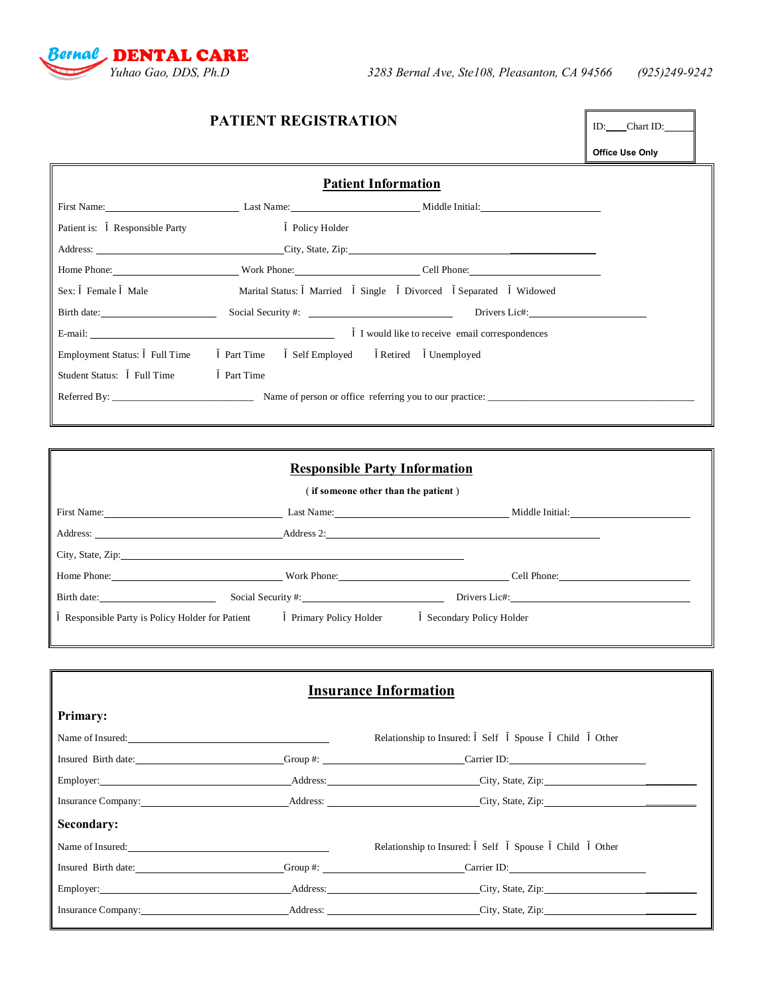

| <b>PATIENT REGISTRATION</b>   | ID: ____Chart ID: _______                  |                                                                                                                                                                                                                                     |                 |
|-------------------------------|--------------------------------------------|-------------------------------------------------------------------------------------------------------------------------------------------------------------------------------------------------------------------------------------|-----------------|
|                               |                                            |                                                                                                                                                                                                                                     | Office Use Only |
|                               |                                            | <b>Patient Information</b>                                                                                                                                                                                                          |                 |
|                               |                                            | First Name: <u>Alexander Alexander Communication and Middle Initial:</u>                                                                                                                                                            |                 |
| Patient is: Responsible Party | <b>Policy Holder</b>                       |                                                                                                                                                                                                                                     |                 |
|                               |                                            | Address: City, State, Zip: City, State, Zip:                                                                                                                                                                                        |                 |
|                               |                                            | Home Phone: <u>Cell Phone:</u> Cell Phone: Cell Phone: Cell Phone: Cell Phone: Cell Phone: Cell Phone: Cell Phone: Cell Phone: Cell Phone: Cell Phone: Cell Phone: Cell Phone: Cell Phone: Cell Phone: Cell Phone: Cell Phone: Cell |                 |
| Sex: Female Male              |                                            | Marital Status: Married Single Divorced Separated Widowed                                                                                                                                                                           |                 |
|                               |                                            |                                                                                                                                                                                                                                     |                 |
|                               |                                            | I would like to receive email correspondences                                                                                                                                                                                       |                 |
| Employment Status: Full Time  | Part Time Self Employed Retired Unemployed |                                                                                                                                                                                                                                     |                 |
| Student Status: Full Time     | Part Time                                  |                                                                                                                                                                                                                                     |                 |
|                               |                                            |                                                                                                                                                                                                                                     |                 |

| <b>Responsible Party Information</b>                                                                                                                                                                                                 |                    |                                                                                                                                                                                                                                |  |  |  |  |  |
|--------------------------------------------------------------------------------------------------------------------------------------------------------------------------------------------------------------------------------------|--------------------|--------------------------------------------------------------------------------------------------------------------------------------------------------------------------------------------------------------------------------|--|--|--|--|--|
| (if someone other than the patient)                                                                                                                                                                                                  |                    |                                                                                                                                                                                                                                |  |  |  |  |  |
|                                                                                                                                                                                                                                      |                    | Last Name: Middle Initial:                                                                                                                                                                                                     |  |  |  |  |  |
| Address: <u>Address and Address and Address and Address and Address and Address and Address and Address and Address and Address and Address and Address and Address and Address and Address and Address and Address and Address </u> |                    |                                                                                                                                                                                                                                |  |  |  |  |  |
| City, State, Zip:                                                                                                                                                                                                                    |                    |                                                                                                                                                                                                                                |  |  |  |  |  |
|                                                                                                                                                                                                                                      |                    | Home Phone: Cell Phone: Cell Phone: Cell Phone: Cell Phone: Cell Phone: Cell Phone: Cell Phone: Cell Phone: Cell Phone: Cell Phone: Cell Phone: Cell Phone: Cell Phone: Cell Phone: Cell Phone: Cell Phone: Cell Phone: Cell P |  |  |  |  |  |
| Birth date:                                                                                                                                                                                                                          | Social Security #: | Drivers Lic#:                                                                                                                                                                                                                  |  |  |  |  |  |
| Responsible Party is Policy Holder for Patient Primary Policy Holder                                                                                                                                                                 |                    | Secondary Policy Holder                                                                                                                                                                                                        |  |  |  |  |  |
|                                                                                                                                                                                                                                      |                    |                                                                                                                                                                                                                                |  |  |  |  |  |

| <b>Insurance Information</b>                |  |                                                                                                                                                                                                                                |  |  |  |  |  |
|---------------------------------------------|--|--------------------------------------------------------------------------------------------------------------------------------------------------------------------------------------------------------------------------------|--|--|--|--|--|
| <b>Primary:</b>                             |  |                                                                                                                                                                                                                                |  |  |  |  |  |
| Name of Insured:                            |  | Relationship to Insured: Self Spouse Child<br>Other                                                                                                                                                                            |  |  |  |  |  |
|                                             |  | Insured Birth date: Group #: Group #: Carrier ID:                                                                                                                                                                              |  |  |  |  |  |
|                                             |  | Employer: Address: Address: City, State, Zip: 2003. 2004. 2006. 2007. 2008. 2009. 2008. 2009. 2009. 2009. 2009. 2009. 2009. 2009. 2009. 2009. 2009. 2009. 2009. 2009. 2009. 2009. 2009. 2009. 2009. 2009. 2009. 2009. 2009. 20 |  |  |  |  |  |
|                                             |  | Insurance Company: Address: Address: City, State, Zip:                                                                                                                                                                         |  |  |  |  |  |
| Secondary:                                  |  |                                                                                                                                                                                                                                |  |  |  |  |  |
| Name of Insured:<br><u>Name of Insured:</u> |  | Relationship to Insured: Self Spouse Child Other                                                                                                                                                                               |  |  |  |  |  |
|                                             |  | Insured Birth date: Group #: Group #: Carrier ID:                                                                                                                                                                              |  |  |  |  |  |
|                                             |  | Employer: Address: City, State, Zip:                                                                                                                                                                                           |  |  |  |  |  |
| Insurance Company:                          |  | Address: City, State, Zip:                                                                                                                                                                                                     |  |  |  |  |  |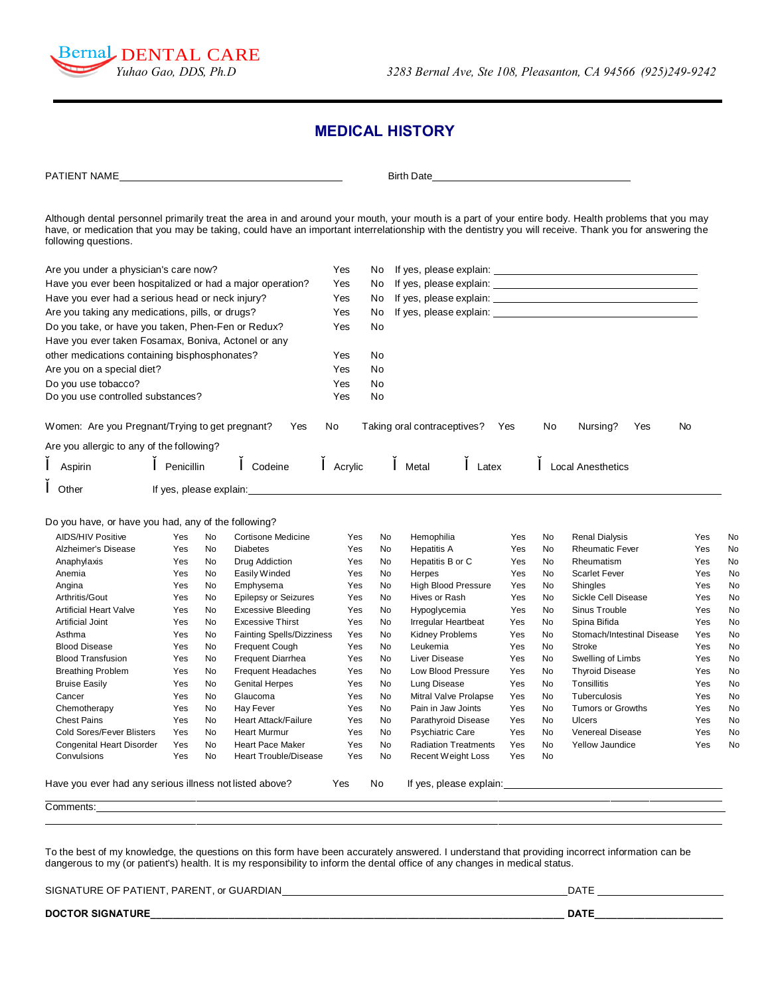

## **MEDICAL HISTORY**

| PATIENT NAME                                              |            |           |                                                                                                                                                                                                                                |            |          | Birth Date                                  |            |          |                                                                                                                                                                                                                                                                                                               |            |          |
|-----------------------------------------------------------|------------|-----------|--------------------------------------------------------------------------------------------------------------------------------------------------------------------------------------------------------------------------------|------------|----------|---------------------------------------------|------------|----------|---------------------------------------------------------------------------------------------------------------------------------------------------------------------------------------------------------------------------------------------------------------------------------------------------------------|------------|----------|
| following questions.                                      |            |           |                                                                                                                                                                                                                                |            |          |                                             |            |          | Although dental personnel primarily treat the area in and around your mouth, your mouth is a part of your entire body. Health problems that you may<br>have, or medication that you may be taking, could have an important interrelationship with the dentistry you will receive. Thank you for answering the |            |          |
| Are you under a physician's care now?                     |            |           |                                                                                                                                                                                                                                | Yes        | No.      |                                             |            |          |                                                                                                                                                                                                                                                                                                               |            |          |
| Have you ever been hospitalized or had a major operation? |            |           |                                                                                                                                                                                                                                | Yes        | No       |                                             |            |          |                                                                                                                                                                                                                                                                                                               |            |          |
|                                                           |            |           |                                                                                                                                                                                                                                |            |          |                                             |            |          |                                                                                                                                                                                                                                                                                                               |            |          |
| Have you ever had a serious head or neck injury?          |            |           |                                                                                                                                                                                                                                | Yes        | No.      |                                             |            |          |                                                                                                                                                                                                                                                                                                               |            |          |
| Are you taking any medications, pills, or drugs?          |            |           |                                                                                                                                                                                                                                | Yes        | No.      |                                             |            |          |                                                                                                                                                                                                                                                                                                               |            |          |
| Do you take, or have you taken, Phen-Fen or Redux?        |            |           |                                                                                                                                                                                                                                | Yes        | No       |                                             |            |          |                                                                                                                                                                                                                                                                                                               |            |          |
| Have you ever taken Fosamax, Boniva, Actonel or any       |            |           |                                                                                                                                                                                                                                |            |          |                                             |            |          |                                                                                                                                                                                                                                                                                                               |            |          |
| other medications containing bisphosphonates?             |            |           |                                                                                                                                                                                                                                | Yes        | No       |                                             |            |          |                                                                                                                                                                                                                                                                                                               |            |          |
| Are you on a special diet?                                |            |           |                                                                                                                                                                                                                                | Yes        | No       |                                             |            |          |                                                                                                                                                                                                                                                                                                               |            |          |
| Do you use tobacco?                                       |            |           |                                                                                                                                                                                                                                | Yes        | No       |                                             |            |          |                                                                                                                                                                                                                                                                                                               |            |          |
| Do you use controlled substances?                         |            |           |                                                                                                                                                                                                                                | Yes        | No       |                                             |            |          |                                                                                                                                                                                                                                                                                                               |            |          |
| Women: Are you Pregnant/Trying to get pregnant?           |            |           | Yes                                                                                                                                                                                                                            | No         |          | Taking oral contraceptives?                 | Yes        | No       | Nursing?<br>Yes                                                                                                                                                                                                                                                                                               | No         |          |
| Are you allergic to any of the following?                 |            |           |                                                                                                                                                                                                                                |            |          |                                             |            |          |                                                                                                                                                                                                                                                                                                               |            |          |
| Aspirin                                                   | Penicillin |           | Codeine                                                                                                                                                                                                                        | Acrylic    |          | Metal<br>Latex                              |            |          | <b>Local Anesthetics</b>                                                                                                                                                                                                                                                                                      |            |          |
| Other                                                     |            |           | If yes, please explain: The same state of the state of the state of the state of the state of the state of the state of the state of the state of the state of the state of the state of the state of the state of the state o |            |          |                                             |            |          |                                                                                                                                                                                                                                                                                                               |            |          |
|                                                           |            |           |                                                                                                                                                                                                                                |            |          |                                             |            |          |                                                                                                                                                                                                                                                                                                               |            |          |
| Do you have, or have you had, any of the following?       |            |           |                                                                                                                                                                                                                                |            |          |                                             |            |          |                                                                                                                                                                                                                                                                                                               |            |          |
| <b>AIDS/HIV Positive</b>                                  | Yes        | No        | Cortisone Medicine                                                                                                                                                                                                             | Yes        | No.      | Hemophilia                                  | Yes        | No       | <b>Renal Dialysis</b>                                                                                                                                                                                                                                                                                         | Yes        | No       |
| Alzheimer's Disease                                       | Yes        | No        | <b>Diabetes</b>                                                                                                                                                                                                                | Yes        | No       | <b>Hepatitis A</b>                          | Yes        | No       | <b>Rheumatic Fever</b>                                                                                                                                                                                                                                                                                        | Yes        | No       |
| Anaphylaxis                                               | Yes        | No        | Drug Addiction                                                                                                                                                                                                                 | Yes        | No       | Hepatitis B or C                            | Yes        | No       | Rheumatism                                                                                                                                                                                                                                                                                                    | Yes        | No       |
| Anemia                                                    | Yes        | No<br>No  | Easily Winded                                                                                                                                                                                                                  | Yes<br>Yes | No<br>No | Herpes                                      | Yes<br>Yes | No<br>No | <b>Scarlet Fever</b>                                                                                                                                                                                                                                                                                          | Yes<br>Yes | No       |
| Angina<br>Arthritis/Gout                                  | Yes<br>Yes | No        | Emphysema<br><b>Epilepsy or Seizures</b>                                                                                                                                                                                       | Yes        | No       | <b>High Blood Pressure</b><br>Hives or Rash | Yes        | No       | Shingles<br>Sickle Cell Disease                                                                                                                                                                                                                                                                               | Yes        | No<br>No |
| <b>Artificial Heart Valve</b>                             | Yes        | No        | <b>Excessive Bleeding</b>                                                                                                                                                                                                      | Yes        | No       | Hypoglycemia                                | Yes        | No       | Sinus Trouble                                                                                                                                                                                                                                                                                                 | Yes        | No       |
| Artificial Joint                                          | Yes        | No        | <b>Excessive Thirst</b>                                                                                                                                                                                                        | Yes        | No       | Irregular Heartbeat                         | Yes        | No       | Spina Bifida                                                                                                                                                                                                                                                                                                  | Yes        | No       |
| Asthma                                                    | Yes        | No        | <b>Fainting Spells/Dizziness</b>                                                                                                                                                                                               | Yes        | No       | Kidney Problems                             | Yes        | No       | Stomach/Intestinal Disease                                                                                                                                                                                                                                                                                    | Yes        | No       |
| <b>Blood Disease</b>                                      | Yes        | No        | <b>Frequent Cough</b>                                                                                                                                                                                                          | Yes        | No       | Leukemia                                    | Yes        | No       | Stroke                                                                                                                                                                                                                                                                                                        | Yes        | No       |
| <b>Blood Transfusion</b>                                  | Yes        | No        | <b>Frequent Diarrhea</b>                                                                                                                                                                                                       | Yes        | No       | Liver Disease                               | Yes        | No       | Swelling of Limbs                                                                                                                                                                                                                                                                                             | Yes        | No       |
| <b>Breathing Problem</b>                                  | Yes        | No        | <b>Frequent Headaches</b>                                                                                                                                                                                                      | Yes        | No       | Low Blood Pressure                          | Yes        | No       | <b>Thyroid Disease</b>                                                                                                                                                                                                                                                                                        | Yes        | No       |
| <b>Bruise Easily</b>                                      | Yes        | No        | <b>Genital Herpes</b>                                                                                                                                                                                                          | Yes        | No       | Lung Disease                                | Yes        | No       | Tonsillitis                                                                                                                                                                                                                                                                                                   | Yes        | No       |
| Cancer                                                    | Yes        | No        | Glaucoma                                                                                                                                                                                                                       | Yes        | No       | Mitral Valve Prolapse                       | Yes        | No       | Tuberculosis                                                                                                                                                                                                                                                                                                  | Yes        | No       |
| Chemotherapy                                              | Yes        | No        | Hay Fever                                                                                                                                                                                                                      | Yes        | No       | Pain in Jaw Joints                          | Yes        | No       | Tumors or Growths                                                                                                                                                                                                                                                                                             | Yes        | No       |
| <b>Chest Pains</b>                                        | Yes        | <b>No</b> | <b>Heart Attack/Failure</b>                                                                                                                                                                                                    | Yes        | No       | Parathyroid Disease                         | Yes        | No       | Ulcers                                                                                                                                                                                                                                                                                                        | Yes        | No       |
| Cold Sores/Fever Blisters                                 | Yes        | No        | Heart Murmur                                                                                                                                                                                                                   | Yes        | No       | <b>Psychiatric Care</b>                     | Yes        | No       | Venereal Disease                                                                                                                                                                                                                                                                                              | Yes        | No       |
| Congenital Heart Disorder                                 | Yes        | No        | <b>Heart Pace Maker</b>                                                                                                                                                                                                        | Yes        | No       | <b>Radiation Treatments</b>                 | Yes        | No       | <b>Yellow Jaundice</b>                                                                                                                                                                                                                                                                                        | Yes        | No       |
| Convulsions                                               | Yes        | No        | <b>Heart Trouble/Disease</b>                                                                                                                                                                                                   | Yes        | No       | Recent Weight Loss                          | Yes        | No       |                                                                                                                                                                                                                                                                                                               |            |          |
| Have you ever had any serious illness not listed above?   |            |           |                                                                                                                                                                                                                                | Yes        | No       |                                             |            |          |                                                                                                                                                                                                                                                                                                               |            |          |
| Comments:                                                 |            |           |                                                                                                                                                                                                                                |            |          |                                             |            |          |                                                                                                                                                                                                                                                                                                               |            |          |
|                                                           |            |           |                                                                                                                                                                                                                                |            |          |                                             |            |          |                                                                                                                                                                                                                                                                                                               |            |          |

To the best of my knowledge, the questions on this form have been accurately answered. I understand that providing incorrect information can be dangerous to my (or patient's) health. It is my responsibility to inform the dental office of any changes in medical status.

SIGNATURE OF PATIENT, PARENT, or GUARDIAN MARKEY AND REVISION AND RESIGNATURE OF PATIENT, PARENT, or GUARDIAN

**DOCTOR SIGNATURE\_\_\_\_\_\_\_\_\_\_\_\_\_\_\_\_\_\_\_\_\_\_\_\_\_\_\_\_\_\_\_\_\_\_\_\_\_\_\_\_\_\_\_\_\_\_\_\_\_\_\_\_\_\_\_\_\_\_\_\_\_\_\_\_\_\_\_\_\_\_\_\_\_\_ DATE\_\_\_\_\_\_\_\_\_\_\_\_\_\_\_\_\_\_\_\_\_\_\_**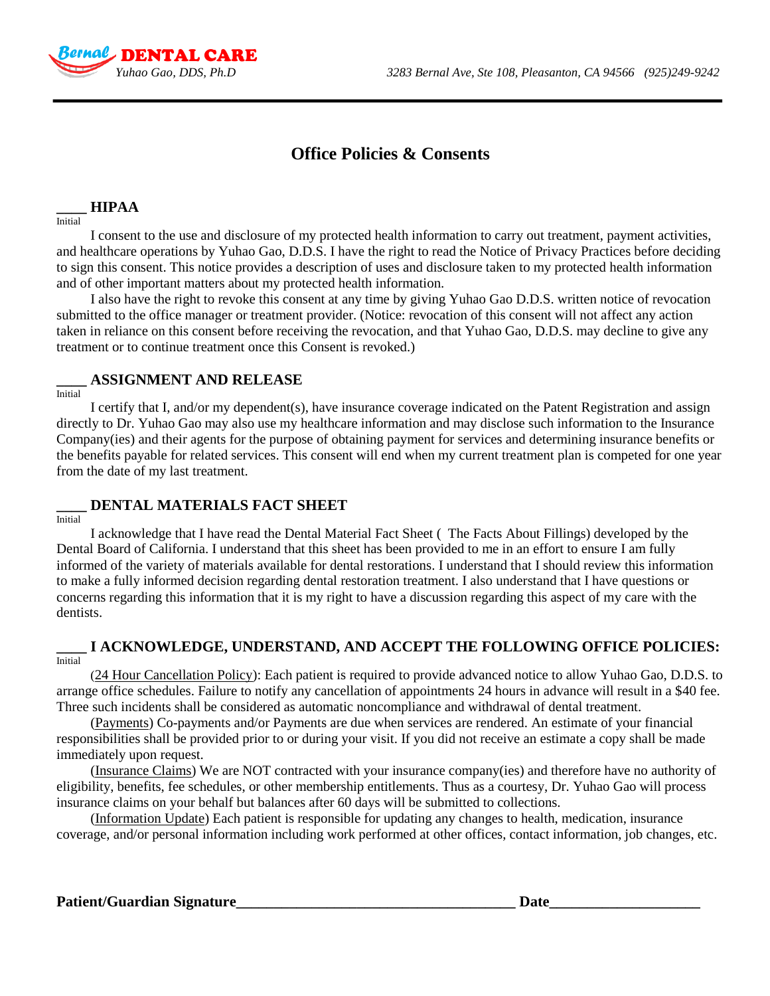

# **Office Policies & Consents**

#### **\_\_\_\_ HIPAA**

Initial

I consent to the use and disclosure of my protected health information to carry out treatment, payment activities, and healthcare operations by Yuhao Gao, D.D.S. I have the right to read the Notice of Privacy Practices before deciding to sign this consent. This notice provides a description of uses and disclosure taken to my protected health information and of other important matters about my protected health information.

I also have the right to revoke this consent at any time by giving Yuhao Gao D.D.S. written notice of revocation submitted to the office manager or treatment provider. (Notice: revocation of this consent will not affect any action taken in reliance on this consent before receiving the revocation, and that Yuhao Gao, D.D.S. may decline to give any treatment or to continue treatment once this Consent is revoked.)

#### **\_\_\_\_ ASSIGNMENT AND RELEASE**

Initial

I certify that I, and/or my dependent(s), have insurance coverage indicated on the Patent Registration and assign directly to Dr. Yuhao Gao may also use my healthcare information and may disclose such information to the Insurance Company(ies) and their agents for the purpose of obtaining payment for services and determining insurance benefits or the benefits payable for related services. This consent will end when my current treatment plan is competed for one year from the date of my last treatment.

### **\_\_\_\_ DENTAL MATERIALS FACT SHEET**

**Initial** 

I acknowledge that I have read the Dental Material Fact Sheet ( The Facts About Fillings) developed by the Dental Board of California. I understand that this sheet has been provided to me in an effort to ensure I am fully informed of the variety of materials available for dental restorations. I understand that I should review this information to make a fully informed decision regarding dental restoration treatment. I also understand that I have questions or concerns regarding this information that it is my right to have a discussion regarding this aspect of my care with the dentists.

#### **\_\_\_\_ I ACKNOWLEDGE, UNDERSTAND, AND ACCEPT THE FOLLOWING OFFICE POLICIES:** Initial

(24 Hour Cancellation Policy): Each patient is required to provide advanced notice to allow Yuhao Gao, D.D.S. to arrange office schedules. Failure to notify any cancellation of appointments 24 hours in advance will result in a \$40 fee. Three such incidents shall be considered as automatic noncompliance and withdrawal of dental treatment.

(Payments) Co-payments and/or Payments are due when services are rendered. An estimate of your financial responsibilities shall be provided prior to or during your visit. If you did not receive an estimate a copy shall be made immediately upon request.

(Insurance Claims) We are NOT contracted with your insurance company(ies) and therefore have no authority of eligibility, benefits, fee schedules, or other membership entitlements. Thus as a courtesy, Dr. Yuhao Gao will process insurance claims on your behalf but balances after 60 days will be submitted to collections.

(Information Update) Each patient is responsible for updating any changes to health, medication, insurance coverage, and/or personal information including work performed at other offices, contact information, job changes, etc.

#### Patient/Guardian Signature